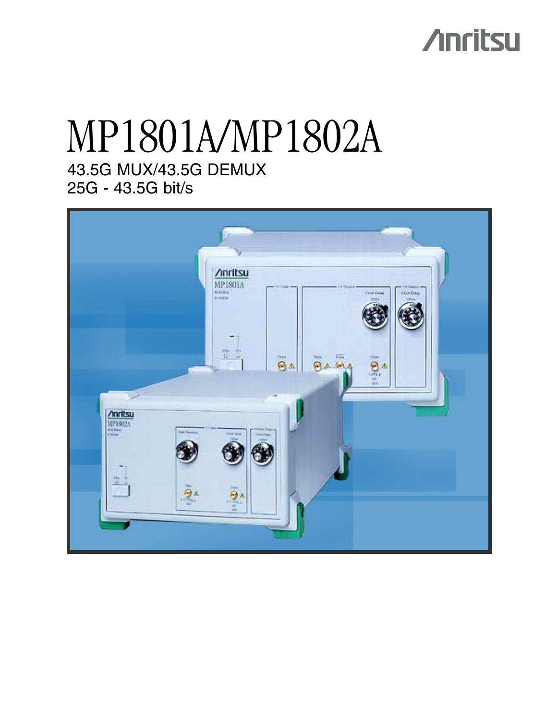# **Anritsu**

## 43.5G MUX/43.5G DEMUX 25G - 43.5G bit/s MP1801A/MP1802A

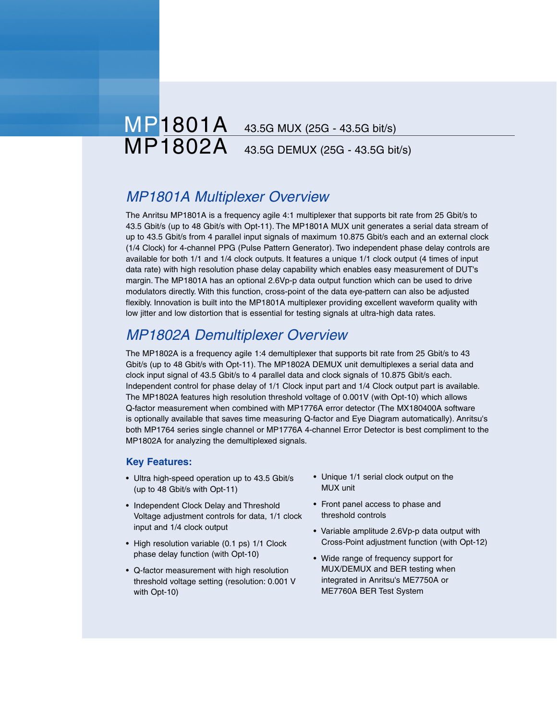## MP1801A 43.5G MUX (25G - 43.5G bit/s)<br>MP1802A 43.5G DEMUX (25G - 43.5G bit 43.5G DEMUX (25G - 43.5G bit/s)

### *MP1801A Multiplexer Overview*

The Anritsu MP1801A is a frequency agile 4:1 multiplexer that supports bit rate from 25 Gbit/s to 43.5 Gbit/s (up to 48 Gbit/s with Opt-11). The MP1801A MUX unit generates a serial data stream of up to 43.5 Gbit/s from 4 parallel input signals of maximum 10.875 Gbit/s each and an external clock (1/4 Clock) for 4-channel PPG (Pulse Pattern Generator). Two independent phase delay controls are available for both 1/1 and 1/4 clock outputs. It features a unique 1/1 clock output (4 times of input data rate) with high resolution phase delay capability which enables easy measurement of DUT's margin. The MP1801A has an optional 2.6Vp-p data output function which can be used to drive modulators directly. With this function, cross-point of the data eye-pattern can also be adjusted flexibly. Innovation is built into the MP1801A multiplexer providing excellent waveform quality with low jitter and low distortion that is essential for testing signals at ultra-high data rates.

### *MP1802A Demultiplexer Overview*

The MP1802A is a frequency agile 1:4 demultiplexer that supports bit rate from 25 Gbit/s to 43 Gbit/s (up to 48 Gbit/s with Opt-11). The MP1802A DEMUX unit demultiplexes a serial data and clock input signal of 43.5 Gbit/s to 4 parallel data and clock signals of 10.875 Gbit/s each. Independent control for phase delay of 1/1 Clock input part and 1/4 Clock output part is available. The MP1802A features high resolution threshold voltage of 0.001V (with Opt-10) which allows Q-factor measurement when combined with MP1776A error detector (The MX180400A software is optionally available that saves time measuring Q-factor and Eye Diagram automatically). Anritsu's both MP1764 series single channel or MP1776A 4-channel Error Detector is best compliment to the MP1802A for analyzing the demultiplexed signals.

#### **Key Features:**

- Ultra high-speed operation up to 43.5 Gbit/s (up to 48 Gbit/s with Opt-11)
- Independent Clock Delay and Threshold Voltage adjustment controls for data, 1/1 clock input and 1/4 clock output
- High resolution variable (0.1 ps) 1/1 Clock phase delay function (with Opt-10)
- Q-factor measurement with high resolution threshold voltage setting (resolution: 0.001 V with Opt-10)
- Unique 1/1 serial clock output on the MUX unit
- Front panel access to phase and threshold controls
- Variable amplitude 2.6Vp-p data output with Cross-Point adjustment function (with Opt-12)
- Wide range of frequency support for MUX/DEMUX and BER testing when integrated in Anritsu's ME7750A or ME7760A BER Test System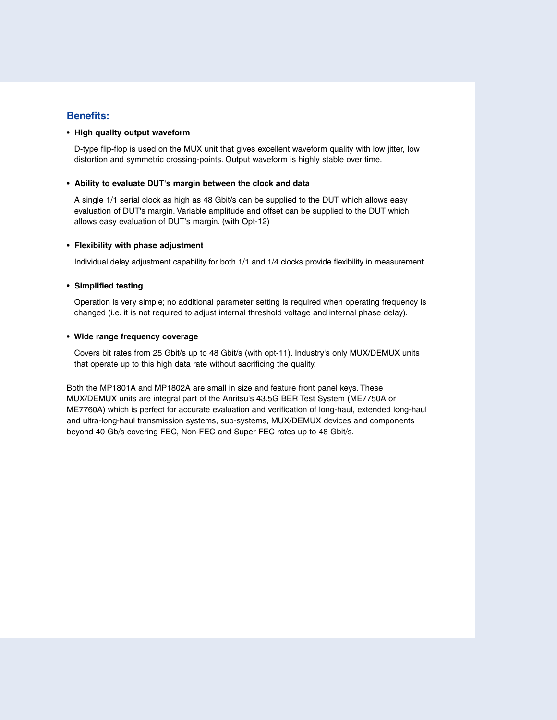#### **Benefits:**

#### **• High quality output waveform**

D-type flip-flop is used on the MUX unit that gives excellent waveform quality with low jitter, low distortion and symmetric crossing-points. Output waveform is highly stable over time.

#### **• Ability to evaluate DUT's margin between the clock and data**

A single 1/1 serial clock as high as 48 Gbit/s can be supplied to the DUT which allows easy evaluation of DUT's margin. Variable amplitude and offset can be supplied to the DUT which allows easy evaluation of DUT's margin. (with Opt-12)

#### **• Flexibility with phase adjustment**

Individual delay adjustment capability for both 1/1 and 1/4 clocks provide flexibility in measurement.

#### **• Simplified testing**

Operation is very simple; no additional parameter setting is required when operating frequency is changed (i.e. it is not required to adjust internal threshold voltage and internal phase delay).

#### **• Wide range frequency coverage**

Covers bit rates from 25 Gbit/s up to 48 Gbit/s (with opt-11). Industry's only MUX/DEMUX units that operate up to this high data rate without sacrificing the quality.

Both the MP1801A and MP1802A are small in size and feature front panel keys. These MUX/DEMUX units are integral part of the Anritsu's 43.5G BER Test System (ME7750A or ME7760A) which is perfect for accurate evaluation and verification of long-haul, extended long-haul and ultra-long-haul transmission systems, sub-systems, MUX/DEMUX devices and components beyond 40 Gb/s covering FEC, Non-FEC and Super FEC rates up to 48 Gbit/s.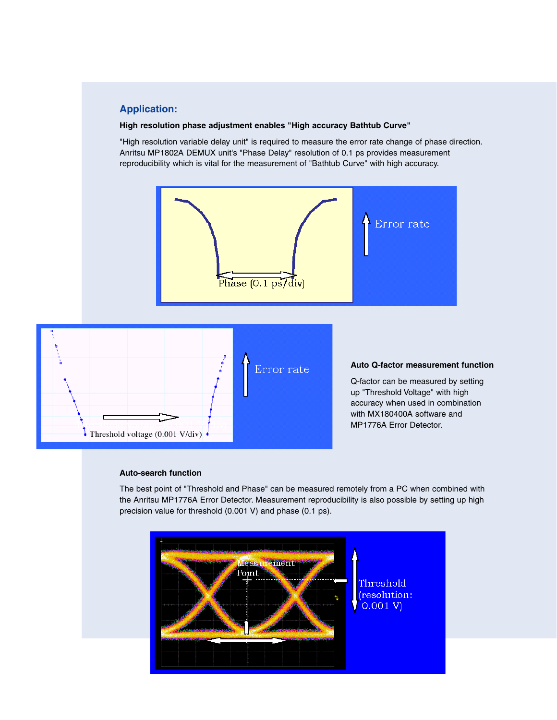#### **Application:**

#### **High resolution phase adjustment enables "High accuracy Bathtub Curve"**

"High resolution variable delay unit" is required to measure the error rate change of phase direction. Anritsu MP1802A DEMUX unit's "Phase Delay" resolution of 0.1 ps provides measurement reproducibility which is vital for the measurement of "Bathtub Curve" with high accuracy.



#### **Auto-search function**

The best point of "Threshold and Phase" can be measured remotely from a PC when combined with the Anritsu MP1776A Error Detector. Measurement reproducibility is also possible by setting up high precision value for threshold (0.001 V) and phase (0.1 ps).

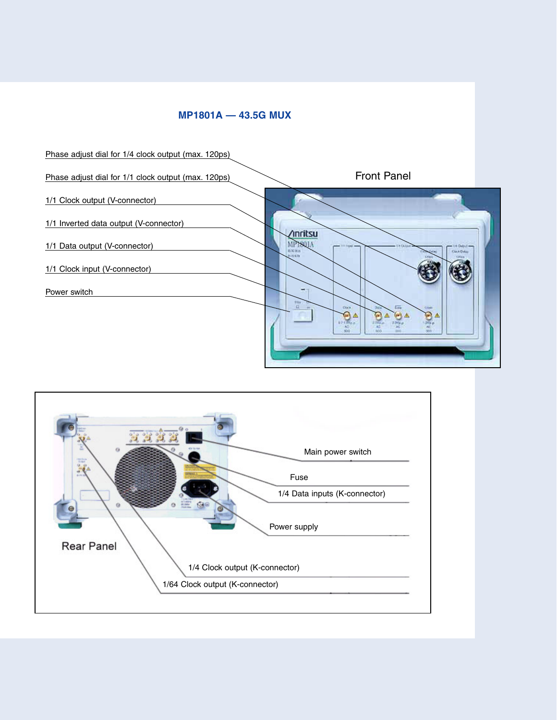#### **MP1801A — 43.5G MUX**



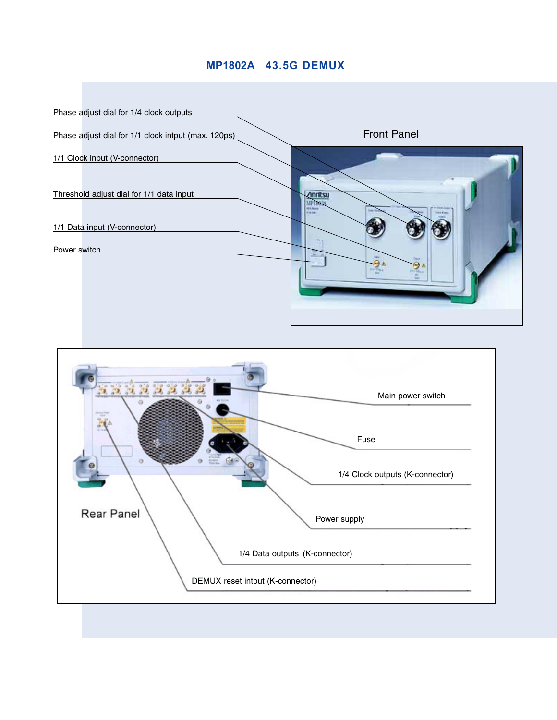#### **MP1802A 43.5G DEMUX**



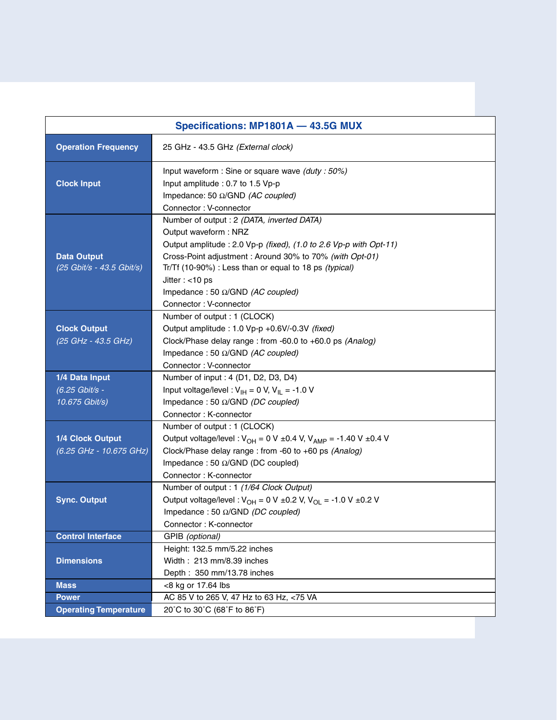| Specifications: MP1801A - 43.5G MUX                |                                                                                                                                                                                                                                                                                                                                                          |  |  |  |  |  |  |  |
|----------------------------------------------------|----------------------------------------------------------------------------------------------------------------------------------------------------------------------------------------------------------------------------------------------------------------------------------------------------------------------------------------------------------|--|--|--|--|--|--|--|
| <b>Operation Frequency</b>                         | 25 GHz - 43.5 GHz (External clock)                                                                                                                                                                                                                                                                                                                       |  |  |  |  |  |  |  |
| <b>Clock Input</b>                                 | Input waveform : Sine or square wave (duty : 50%)<br>Input amplitude : 0.7 to 1.5 Vp-p<br>Impedance: 50 Ω/GND (AC coupled)<br>Connector: V-connector                                                                                                                                                                                                     |  |  |  |  |  |  |  |
| <b>Data Output</b><br>(25 Gbit/s - 43.5 Gbit/s)    | Number of output : 2 (DATA, inverted DATA)<br>Output waveform: NRZ<br>Output amplitude : 2.0 Vp-p (fixed), (1.0 to 2.6 Vp-p with Opt-11)<br>Cross-Point adjustment: Around 30% to 70% (with Opt-01)<br>Tr/Tf (10-90%) : Less than or equal to 18 ps (typical)<br>Jitter: $<$ 10 ps<br>Impedance: 50 $\Omega$ /GND (AC coupled)<br>Connector: V-connector |  |  |  |  |  |  |  |
| <b>Clock Output</b><br>(25 GHz - 43.5 GHz)         | Number of output : 1 (CLOCK)<br>Output amplitude : 1.0 Vp-p +0.6V/-0.3V (fixed)<br>Clock/Phase delay range : from -60.0 to +60.0 ps (Analog)<br>Impedance: 50 $\Omega$ /GND (AC coupled)<br>Connector: V-connector                                                                                                                                       |  |  |  |  |  |  |  |
| 1/4 Data Input<br>(6.25 Gbit/s -<br>10.675 Gbit/s) | Number of input : 4 (D1, D2, D3, D4)<br>Input voltage/level: $V_{\text{IH}} = 0$ V, $V_{\text{IL}} = -1.0$ V<br>Impedance: 50 $\Omega$ /GND (DC coupled)<br>Connector: K-connector                                                                                                                                                                       |  |  |  |  |  |  |  |
| 1/4 Clock Output<br>(6.25 GHz - 10.675 GHz)        | Number of output : 1 (CLOCK)<br>Output voltage/level: $V_{OH} = 0 V \pm 0.4 V$ , $V_{AMP} = -1.40 V \pm 0.4 V$<br>Clock/Phase delay range : from -60 to +60 ps (Analog)<br>Impedance: 50 $\Omega$ /GND (DC coupled)<br>Connector: K-connector                                                                                                            |  |  |  |  |  |  |  |
| <b>Sync. Output</b>                                | Number of output : 1 (1/64 Clock Output)<br>Output voltage/level: $V_{OH} = 0 V \pm 0.2 V$ , $V_{OL} = -1.0 V \pm 0.2 V$<br>Impedance: 50 $\Omega$ /GND (DC coupled)<br>Connector: K-connector                                                                                                                                                           |  |  |  |  |  |  |  |
| <b>Control Interface</b>                           | GPIB (optional)                                                                                                                                                                                                                                                                                                                                          |  |  |  |  |  |  |  |
| <b>Dimensions</b>                                  | Height: 132.5 mm/5.22 inches<br>Width: 213 mm/8.39 inches<br>Depth: 350 mm/13.78 inches                                                                                                                                                                                                                                                                  |  |  |  |  |  |  |  |
| <b>Mass</b>                                        | <8 kg or 17.64 lbs                                                                                                                                                                                                                                                                                                                                       |  |  |  |  |  |  |  |
| <b>Power</b>                                       | AC 85 V to 265 V, 47 Hz to 63 Hz, <75 VA                                                                                                                                                                                                                                                                                                                 |  |  |  |  |  |  |  |
| <b>Operating Temperature</b>                       | 20°C to 30°C (68°F to 86°F)                                                                                                                                                                                                                                                                                                                              |  |  |  |  |  |  |  |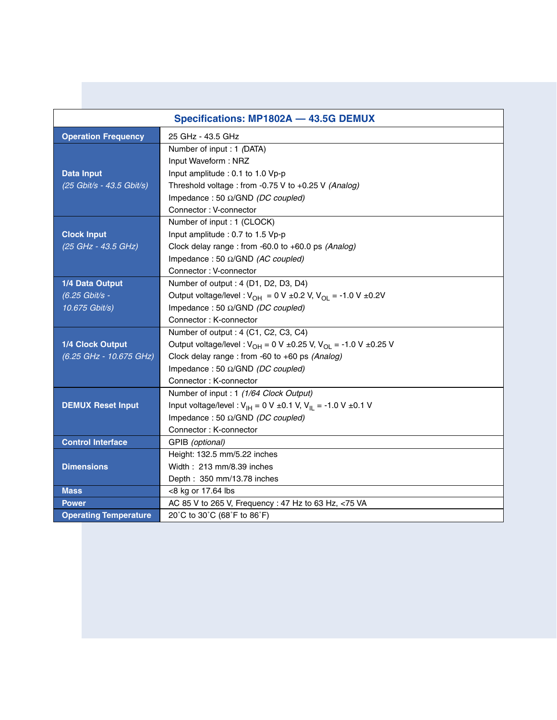| Specifications: MP1802A - 43.5G DEMUX |                                                                                  |  |  |  |  |  |  |
|---------------------------------------|----------------------------------------------------------------------------------|--|--|--|--|--|--|
| <b>Operation Frequency</b>            | 25 GHz - 43.5 GHz                                                                |  |  |  |  |  |  |
|                                       | Number of input : 1 (DATA)                                                       |  |  |  |  |  |  |
|                                       | Input Waveform: NRZ                                                              |  |  |  |  |  |  |
| <b>Data Input</b>                     | Input amplitude : 0.1 to 1.0 Vp-p                                                |  |  |  |  |  |  |
| (25 Gbit/s - 43.5 Gbit/s)             | Threshold voltage : from -0.75 V to +0.25 V (Analog)                             |  |  |  |  |  |  |
|                                       | Impedance: 50 $\Omega$ /GND (DC coupled)                                         |  |  |  |  |  |  |
|                                       | Connector: V-connector                                                           |  |  |  |  |  |  |
|                                       | Number of input : 1 (CLOCK)                                                      |  |  |  |  |  |  |
| <b>Clock Input</b>                    | Input amplitude : 0.7 to 1.5 Vp-p                                                |  |  |  |  |  |  |
| (25 GHz - 43.5 GHz)                   | Clock delay range : from -60.0 to +60.0 ps (Analog)                              |  |  |  |  |  |  |
|                                       | Impedance: 50 Ω/GND (AC coupled)                                                 |  |  |  |  |  |  |
|                                       | Connector: V-connector                                                           |  |  |  |  |  |  |
| 1/4 Data Output                       | Number of output : 4 (D1, D2, D3, D4)                                            |  |  |  |  |  |  |
| (6.25 Gbit/s -                        | Output voltage/level: $V_{OH} = 0 V \pm 0.2 V$ , $V_{OL} = -1.0 V \pm 0.2 V$     |  |  |  |  |  |  |
| 10.675 Gbit/s)                        | Impedance: 50 $\Omega$ /GND (DC coupled)                                         |  |  |  |  |  |  |
|                                       | Connector: K-connector                                                           |  |  |  |  |  |  |
|                                       | Number of output : 4 (C1, C2, C3, C4)                                            |  |  |  |  |  |  |
| 1/4 Clock Output                      | Output voltage/level: $V_{OH} = 0 V \pm 0.25 V$ , $V_{OL} = -1.0 V \pm 0.25 V$   |  |  |  |  |  |  |
| (6.25 GHz - 10.675 GHz)               | Clock delay range : from -60 to +60 ps (Analog)                                  |  |  |  |  |  |  |
|                                       | Impedance: 50 $\Omega$ /GND (DC coupled)                                         |  |  |  |  |  |  |
|                                       | Connector: K-connector                                                           |  |  |  |  |  |  |
|                                       | Number of input : 1 (1/64 Clock Output)                                          |  |  |  |  |  |  |
| <b>DEMUX Reset Input</b>              | Input voltage/level: $V_{\text{H}} = 0$ V ±0.1 V, $V_{\text{H}} = -1.0$ V ±0.1 V |  |  |  |  |  |  |
|                                       | Impedance: 50 $\Omega$ /GND (DC coupled)                                         |  |  |  |  |  |  |
|                                       | Connector: K-connector                                                           |  |  |  |  |  |  |
| <b>Control Interface</b>              | GPIB (optional)                                                                  |  |  |  |  |  |  |
|                                       | Height: 132.5 mm/5.22 inches                                                     |  |  |  |  |  |  |
| <b>Dimensions</b>                     | Width: 213 mm/8.39 inches                                                        |  |  |  |  |  |  |
|                                       | Depth: 350 mm/13.78 inches                                                       |  |  |  |  |  |  |
| <b>Mass</b>                           | <8 kg or 17.64 lbs                                                               |  |  |  |  |  |  |
| <b>Power</b>                          | AC 85 V to 265 V, Frequency : 47 Hz to 63 Hz, <75 VA                             |  |  |  |  |  |  |
| <b>Operating Temperature</b>          | 20°C to 30°C (68°F to 86°F)                                                      |  |  |  |  |  |  |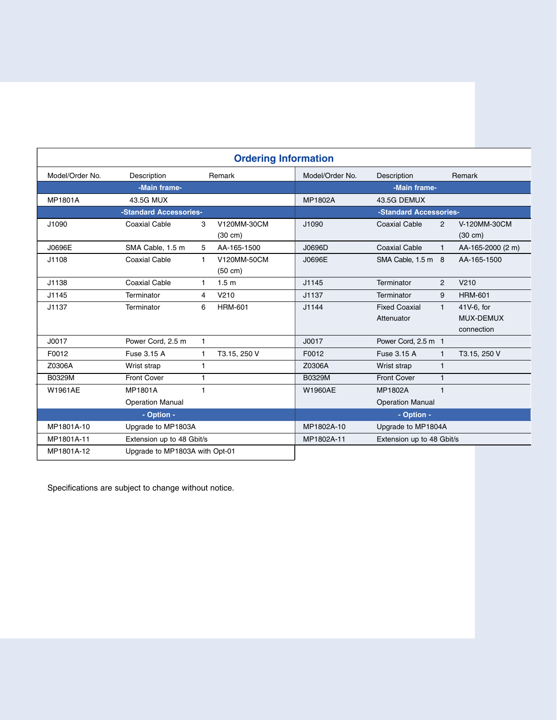| <b>Ordering Information</b>                  |                         |              |                                  |                           |                         |              |                                   |  |  |
|----------------------------------------------|-------------------------|--------------|----------------------------------|---------------------------|-------------------------|--------------|-----------------------------------|--|--|
| Model/Order No.                              | Description<br>Remark   |              |                                  | Model/Order No.           | Description             |              | Remark                            |  |  |
| -Main frame-                                 |                         |              |                                  | -Main frame-              |                         |              |                                   |  |  |
| MP1801A                                      | 43.5G MUX               |              |                                  | MP1802A                   | 43.5G DEMUX             |              |                                   |  |  |
| -Standard Accessories-                       |                         |              | -Standard Accessories-           |                           |                         |              |                                   |  |  |
| J1090                                        | <b>Coaxial Cable</b>    | 3            | V120MM-30CM<br>$(30 \text{ cm})$ | J1090                     | <b>Coaxial Cable</b>    | 2            | V-120MM-30CM<br>$(30 \text{ cm})$ |  |  |
| J0696E                                       | SMA Cable, 1.5 m        | 5            | AA-165-1500                      | J0696D                    | <b>Coaxial Cable</b>    | $\mathbf{1}$ | AA-165-2000 (2 m)                 |  |  |
| J1108                                        | <b>Coaxial Cable</b>    | $\mathbf{1}$ | V120MM-50CM<br>$(50 \text{ cm})$ | J0696E                    | SMA Cable, 1.5 m 8      |              | AA-165-1500                       |  |  |
| J1138                                        | <b>Coaxial Cable</b>    | 1            | 1.5 <sub>m</sub>                 | J1145                     | Terminator              | 2            | V210                              |  |  |
| J1145                                        | Terminator              | 4            | V210                             | J1137                     | Terminator              | 9            | <b>HRM-601</b>                    |  |  |
| J1137                                        | Terminator              | 6            | <b>HRM-601</b>                   | J1144                     | <b>Fixed Coaxial</b>    | $\mathbf{1}$ | 41V-6, for                        |  |  |
|                                              |                         |              |                                  |                           | Attenuator              |              | MUX-DEMUX                         |  |  |
|                                              |                         |              |                                  |                           |                         |              | connection                        |  |  |
| J0017                                        | Power Cord, 2.5 m       | $\mathbf{1}$ |                                  | J0017                     | Power Cord, 2.5 m 1     |              |                                   |  |  |
| F0012                                        | Fuse 3.15 A             | 1.           | T3.15, 250 V                     | F0012                     | Fuse 3.15 A             | 1            | T3.15, 250 V                      |  |  |
| Z0306A                                       | Wrist strap             | 1            |                                  | Z0306A                    | Wrist strap             | $\mathbf{1}$ |                                   |  |  |
| B0329M                                       | <b>Front Cover</b>      | 1            |                                  | B0329M                    | <b>Front Cover</b>      | $\mathbf{1}$ |                                   |  |  |
| W1961AE                                      | <b>MP1801A</b>          | 1            |                                  | <b>W1960AE</b>            | <b>MP1802A</b>          | $\mathbf{1}$ |                                   |  |  |
|                                              | <b>Operation Manual</b> |              |                                  |                           | <b>Operation Manual</b> |              |                                   |  |  |
| - Option -                                   |                         |              |                                  | - Option -                |                         |              |                                   |  |  |
| MP1801A-10<br>Upgrade to MP1803A             |                         |              | MP1802A-10                       | Upgrade to MP1804A        |                         |              |                                   |  |  |
| MP1801A-11<br>Extension up to 48 Gbit/s      |                         |              | MP1802A-11                       | Extension up to 48 Gbit/s |                         |              |                                   |  |  |
| MP1801A-12<br>Upgrade to MP1803A with Opt-01 |                         |              |                                  |                           |                         |              |                                   |  |  |

Specifications are subject to change without notice.